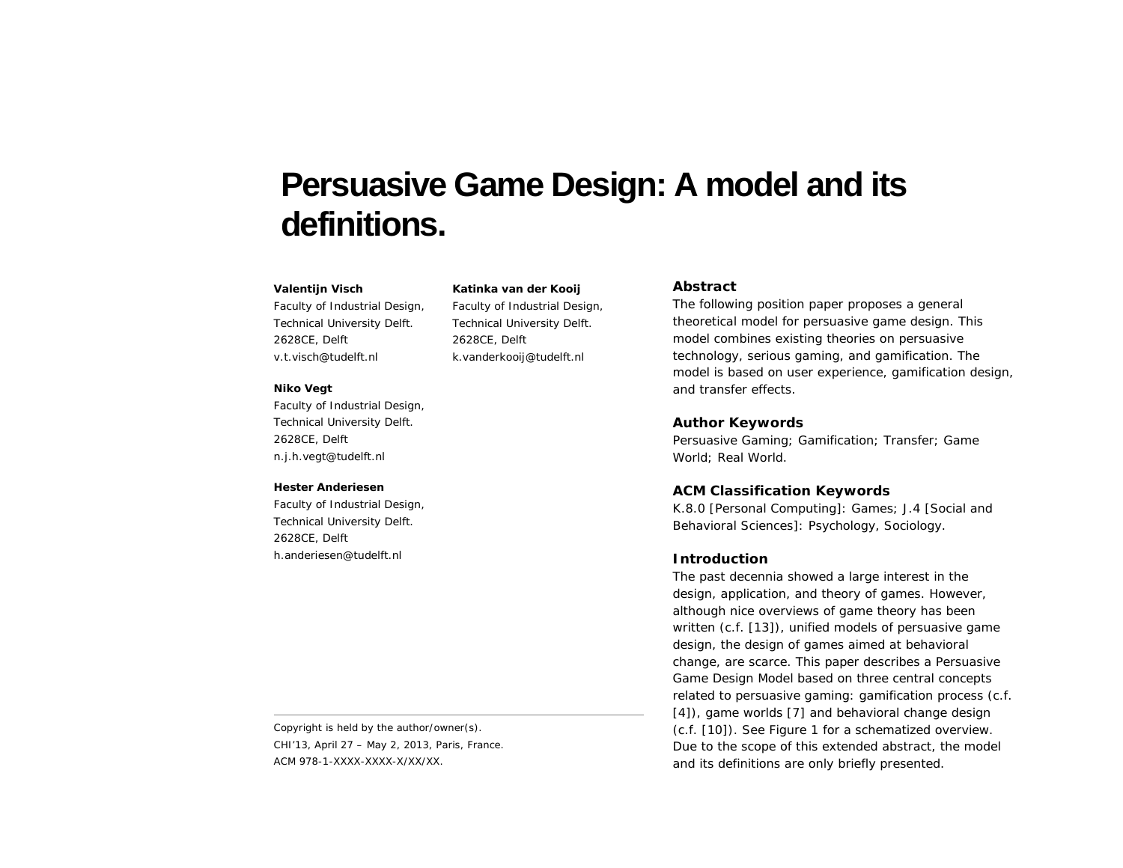# **Persuasive Game Design: A model and its definitions.**

## **Valentijn Visch**

Faculty of Industrial Design, Technical University Delft. 2628CE, Delft v.t.visch@tudelft.nl

#### **Niko Vegt**

Faculty of Industrial Design, Technical University Delft. 2628CE, Delft n.j.h.vegt@tudelft.nl

#### **Hester Anderiesen**

Faculty of Industrial Design, Technical University Delft. 2628CE, Delft h.anderiesen@tudelft.nl

Copyright is held by the author/owner(s). *CHI'13*, April 27 – May 2, 2013, Paris, France. ACM 978-1-XXXX-XXXX-X/XX/XX.

## **Katinka van der Kooij**

Faculty of Industrial Design, Technical University Delft. 2628CE, Delft k.vanderkooij@tudelft.nl

## **Abstract**

The following position paper proposes a general theoretical model for persuasive game design. This model combines existing theories on persuasive technology, serious gaming, and gamification. The model is based on user experience, gamification design, and transfer effects.

## **Author Keywords**

Persuasive Gaming; Gamification; Transfer; Game World; Real World.

# **ACM Classification Keywords**

K.8.0 [Personal Computing]: Games; J.4 [Social and Behavioral Sciences]: Psychology, Sociology.

## **Introduction**

The past decennia showed a large interest in the design, application, and theory of games. However, although nice overviews of game theory has been written (c.f. [13]), unified models of persuasive game design, the design of games aimed at behavioral change, are scarce. This paper describes a *Persuasive Game Design Model* based on three central concepts related to persuasive gaming: gamification process (c.f. [4]), game worlds [7] and behavioral change design (c.f. [10]). See Figure 1 for a schematized overview. Due to the scope of this extended abstract, the model and its definitions are only briefly presented.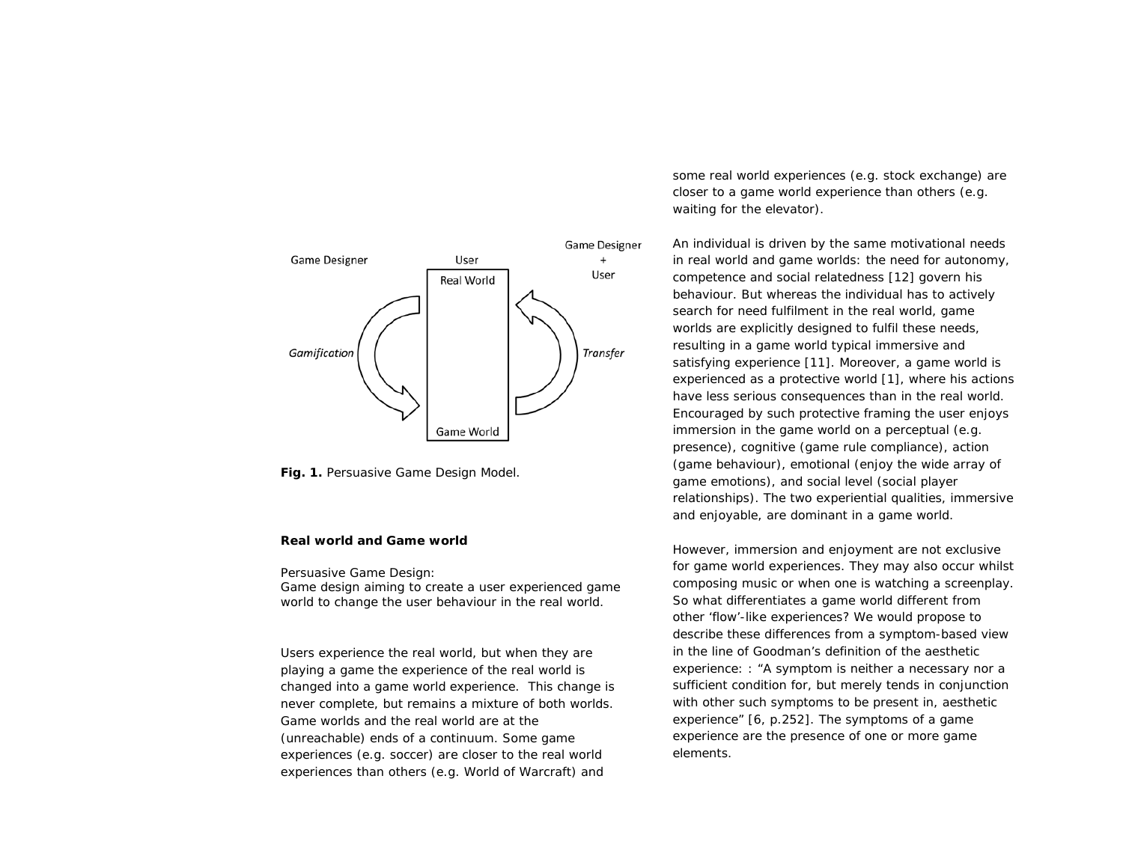

**Fig. 1.** Persuasive Game Design Model.

## **Real world and Game world**

Persuasive Game Design: *Game design aiming to create a user experienced game world to change the user behaviour in the real world.*

Users experience the real world, but when they are playing a game the experience of the real world is changed into a game world experience. This change is never complete, but remains a mixture of both worlds. Game worlds and the real world are at the (unreachable) ends of a continuum. Some game experiences (e.g. soccer) are closer to the real world experiences than others (e.g. World of Warcraft) and

some real world experiences (e.g. stock exchange) are closer to a game world experience than others (e.g. waiting for the elevator).

An individual is driven by the same motivational needs in real world and game worlds: the need for *autonomy, competence* and *social relatedness* [12] govern his behaviour. But whereas the individual has to actively search for need fulfilment in the real world, game worlds are explicitly designed to fulfil these needs, resulting in a game world typical immersive and satisfying experience [11]. Moreover, a game world is experienced as a protective world [1], where his actions have less serious consequences than in the real world. Encouraged by such protective framing the user enjoys immersion in the game world on a perceptual (e.g. presence), cognitive (game rule compliance), action (game behaviour), emotional (enjoy the wide array of game emotions), and social level (social player relationships). The two experiential qualities, *immersive*  and *enjoyable,* are dominant in a game world.

However, immersion and enjoyment are not exclusive for game world experiences. They may also occur whilst composing music or when one is watching a screenplay. So what differentiates a game world different from other 'flow'-like experiences? We would propose to describe these differences from a symptom-based view in the line of Goodman's definition of the aesthetic experience: : "A symptom is neither a necessary nor a sufficient condition for, but merely tends in conjunction with other such symptoms to be present in, aesthetic experience" [6, p.252]. The symptoms of a game experience are the presence of one or more game elements.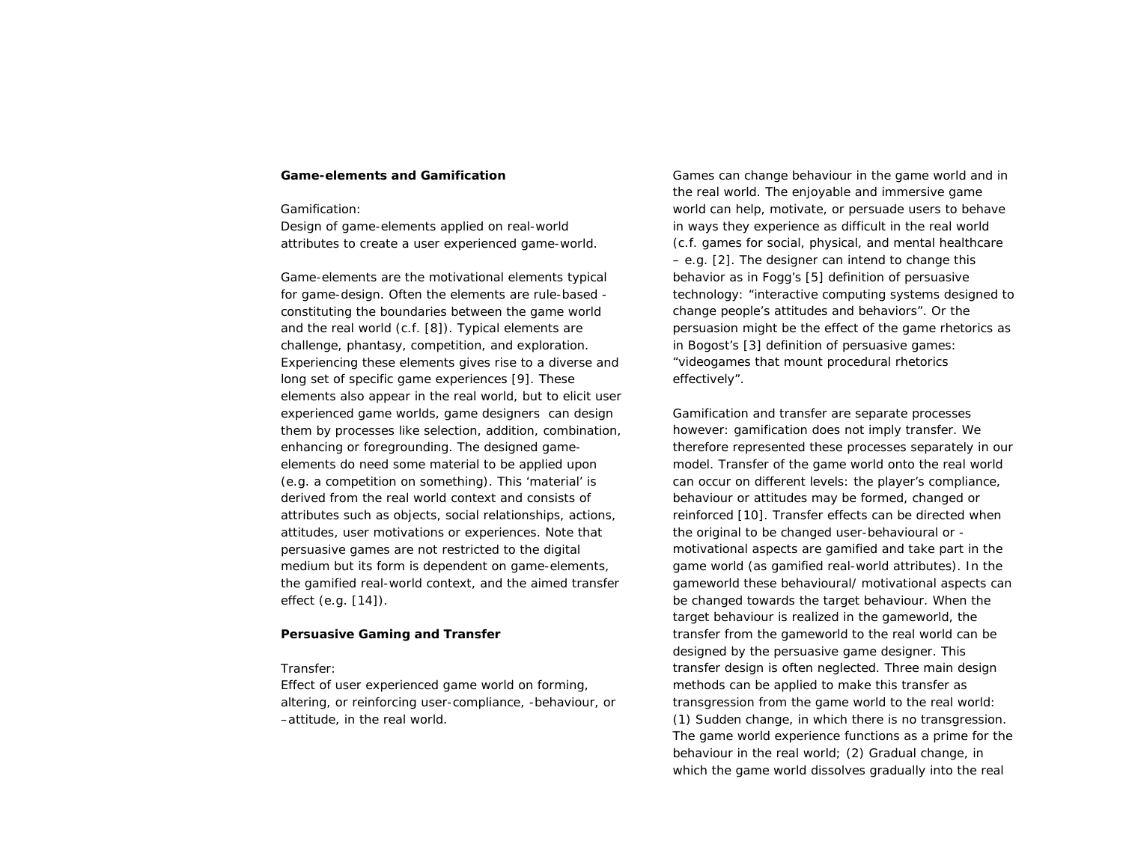## **Game-elements and Gamification**

Gamification:

*Design of game-elements applied on real-world attributes to create a user experienced game-world.*

Game-elements are the motivational elements typical for game-design. Often the elements are rule-based constituting the boundaries between the game world and the real world (c.f. [8]). Typical elements are challenge, phantasy, competition, and exploration. Experiencing these elements gives rise to a diverse and long set of specific game experiences [9]. These elements also appear in the real world, but to elicit user experienced game worlds, game designers can design them by processes like selection, addition, combination, enhancing or foregrounding. The designed gameelements do need some material to be applied upon (e.g. a competition on *something*). This 'material' is derived from the *real world context* and consists of attributes such as objects, social relationships, actions, attitudes, user motivations or experiences. Note that persuasive games are not restricted to the digital medium but its form is dependent on game-elements, the gamified real-world context, and the aimed transfer effect (e.g. [14]).

## **Persuasive Gaming and Transfer**

Transfer:

*Effect of user experienced game world on forming, altering, or reinforcing user-compliance, -behaviour, or –attitude, in the real world.* 

Games can change behaviour in the game world and in the real world. The enjoyable and immersive game world can help, motivate, or persuade users to behave in ways they experience as difficult in the real world (c.f. games for social, physical, and mental healthcare – e.g. [2]. The designer can intend to change this behavior as in Fogg's [5] definition of persuasive technology: "interactive computing systems designed to change people's attitudes and behaviors". Or the persuasion might be the effect of the game rhetorics as in Bogost's [3] definition of persuasive games: "videogames that mount procedural rhetorics effectively".

Gamification and transfer are separate processes however: gamification does not imply transfer. We therefore represented these processes separately in our model. Transfer of the game world onto the real world can occur on different levels: the player's compliance, behaviour or attitudes may be formed, changed or reinforced [10]. Transfer effects can be directed when the original *to be changed* user-behavioural or motivational aspects are gamified and take part in the game world (as gamified real-world attributes). In the gameworld these behavioural/ motivational aspects can be changed towards the target behaviour. When the target behaviour is realized in the gameworld, the transfer from the gameworld to the real world can be designed by the persuasive game designer. This transfer design is often neglected. Three main design methods can be applied to make this transfer as transgression from the game world to the real world: (1) Sudden change, in which there is no transgression. The game world experience functions as a prime for the behaviour in the real world; (2) Gradual change, in which the game world dissolves gradually into the real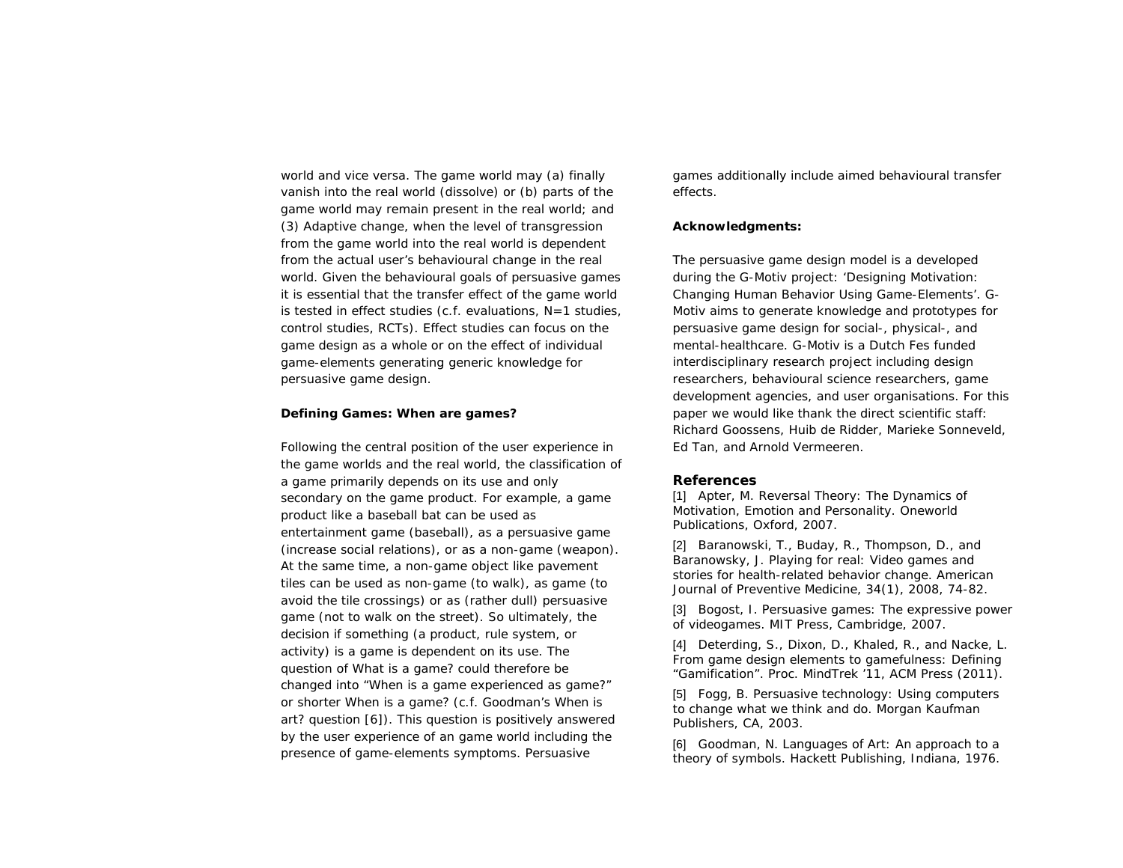world and vice versa. The game world may (a) finally vanish into the real world (dissolve) or (b) parts of the game world may remain present in the real world; and (3) Adaptive change, when the level of transgression from the game world into the real world is dependent from the actual user's behavioural change in the real world. Given the behavioural goals of persuasive games it is essential that the transfer effect of the game world is tested in effect studies (c.f. evaluations, N=1 studies, control studies, RCTs). Effect studies can focus on the game design as a whole or on the effect of individual game-elements generating generic knowledge for persuasive game design.

## **Defining Games: When are games?**

Following the central position of the user experience in the game worlds and the real world, the classification of a game primarily depends on its use and only secondary on the game product. For example, a game product like a baseball bat can be used as entertainment game (baseball), as a persuasive game (increase social relations), or as a non-game (weapon). At the same time, a non-game object like pavement tiles can be used as non-game (to walk), as game (to avoid the tile crossings) or as (rather dull) persuasive game (not to walk on the street). So ultimately, the decision if something (a product, rule system, or activity) is a game is dependent on its use. The question of *What is a game?* could therefore be changed into "*When is a game experienced as game?"*  or shorter *When is a game?* (c.f. Goodman's *When is art?* question [6]). This question is positively answered by the user experience of an game world including the presence of game-elements symptoms. Persuasive

games additionally include aimed behavioural transfer effects.

## **Acknowledgments:**

The persuasive game design model is a developed during the G-Motiv project: 'Designing Motivation: Changing Human Behavior Using Game-Elements'. G-Motiv aims to generate knowledge and prototypes for persuasive game design for social-, physical-, and mental-healthcare. G-Motiv is a Dutch Fes funded interdisciplinary research project including design researchers, behavioural science researchers, game development agencies, and user organisations. For this paper we would like thank the direct scientific staff: Richard Goossens, Huib de Ridder, Marieke Sonneveld, Ed Tan, and Arnold Vermeeren.

## **References**

[1] Apter, M. Reversal Theory: The Dynamics of Motivation, Emotion and Personality. Oneworld Publications, Oxford, 2007.

[2] Baranowski, T., Buday, R., Thompson, D., and Baranowsky, J. Playing for real: Video games and stories for health-related behavior change. American Journal of Preventive Medicine, 34(1), 2008, 74-82.

[3] Bogost, I. Persuasive games: The expressive power of videogames. MIT Press, Cambridge, 2007.

[4] Deterding, S., Dixon, D., Khaled, R., and Nacke, L. From game design elements to gamefulness: Defining "Gamification". Proc. MindTrek '11, ACM Press (2011).

[5] Fogg, B. Persuasive technology: Using computers to change what we think and do. Morgan Kaufman Publishers, CA, 2003.

[6] Goodman, N. Languages of Art: An approach to a theory of symbols. Hackett Publishing, Indiana, 1976.